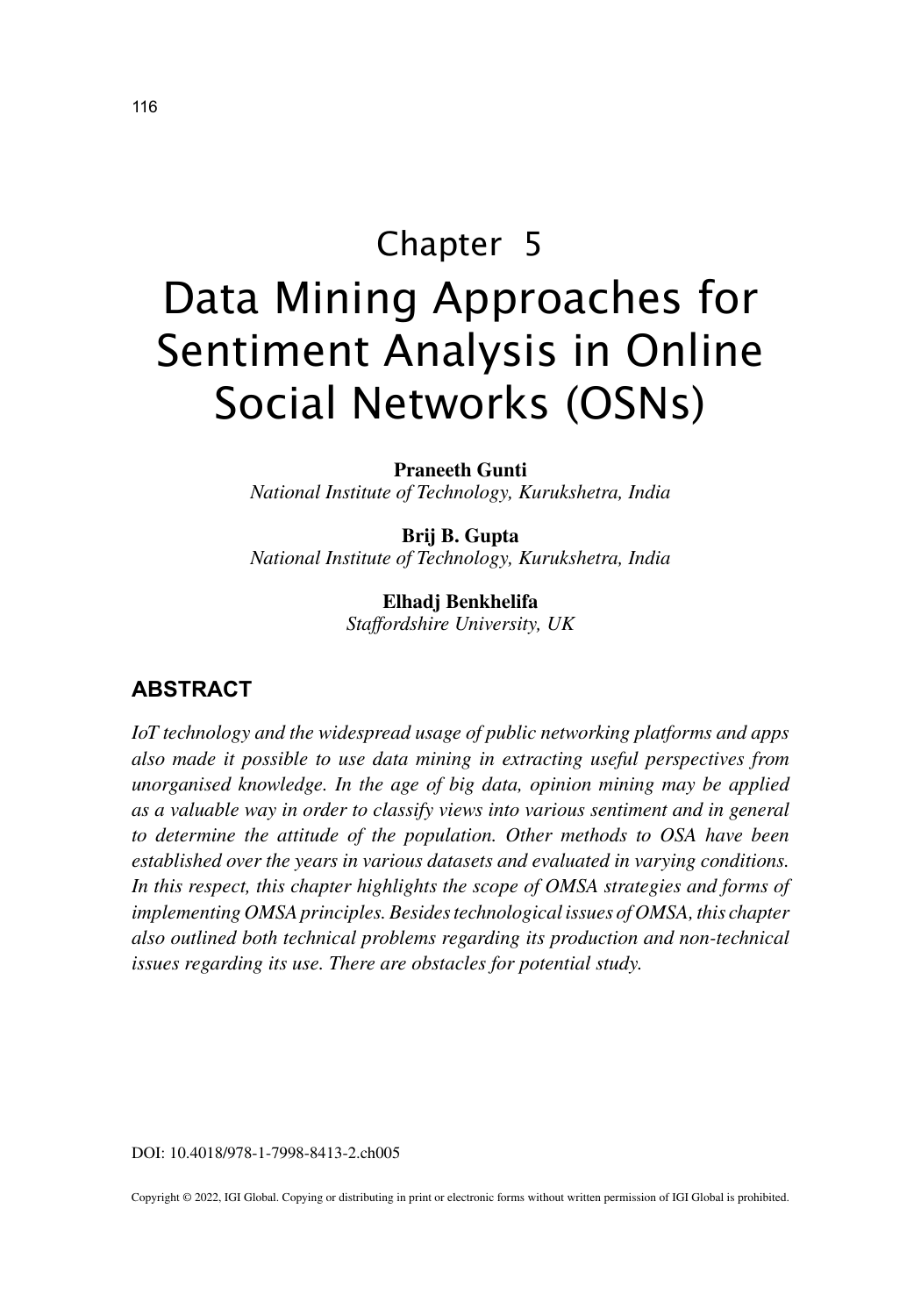# Chapter 5 Data Mining Approaches for Sentiment Analysis in Online Social Networks (OSNs)

**Praneeth Gunti** *National Institute of Technology, Kurukshetra, India*

**Brij B. Gupta** *National Institute of Technology, Kurukshetra, India*

> **Elhadj Benkhelifa** *Staffordshire University, UK*

## **ABSTRACT**

*IoT technology and the widespread usage of public networking platforms and apps also made it possible to use data mining in extracting useful perspectives from unorganised knowledge. In the age of big data, opinion mining may be applied as a valuable way in order to classify views into various sentiment and in general to determine the attitude of the population. Other methods to OSA have been established over the years in various datasets and evaluated in varying conditions.*  In this respect, this chapter highlights the scope of OMSA strategies and forms of *implementing OMSA principles. Besides technological issues of OMSA, this chapter also outlined both technical problems regarding its production and non-technical issues regarding its use. There are obstacles for potential study.*

DOI: 10.4018/978-1-7998-8413-2.ch005

Copyright © 2022, IGI Global. Copying or distributing in print or electronic forms without written permission of IGI Global is prohibited.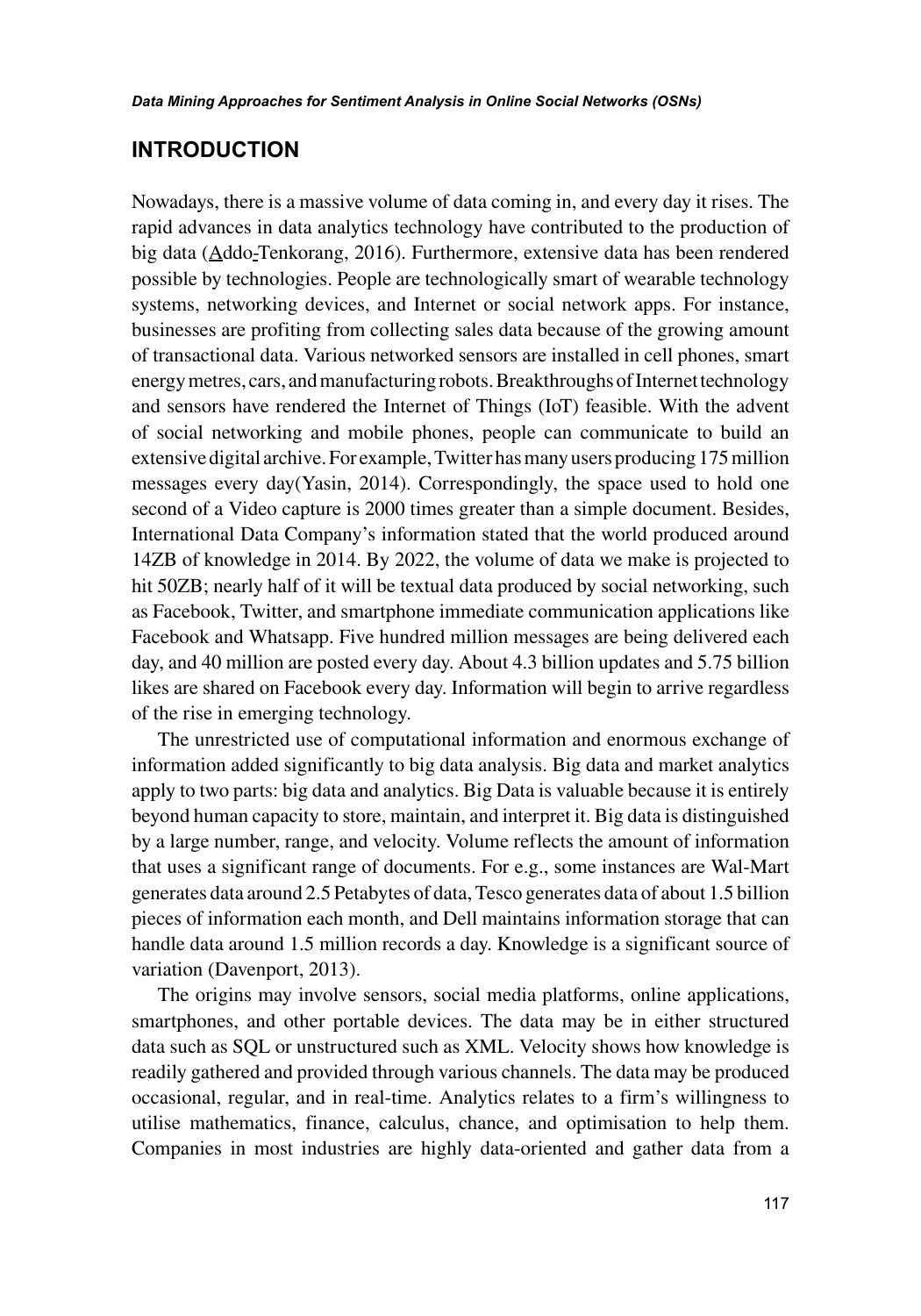#### **INTRODUCTION**

Nowadays, there is a massive volume of data coming in, and every day it rises. The rapid advances in data analytics technology have contributed to the production of big data (Addo-Tenkorang, 2016). Furthermore, extensive data has been rendered possible by technologies. People are technologically smart of wearable technology systems, networking devices, and Internet or social network apps. For instance, businesses are profiting from collecting sales data because of the growing amount of transactional data. Various networked sensors are installed in cell phones, smart energy metres, cars, and manufacturing robots. Breakthroughs of Internet technology and sensors have rendered the Internet of Things (IoT) feasible. With the advent of social networking and mobile phones, people can communicate to build an extensive digital archive. For example, Twitter has many users producing 175 million messages every day(Yasin, 2014). Correspondingly, the space used to hold one second of a Video capture is 2000 times greater than a simple document. Besides, International Data Company's information stated that the world produced around 14ZB of knowledge in 2014. By 2022, the volume of data we make is projected to hit 50ZB; nearly half of it will be textual data produced by social networking, such as Facebook, Twitter, and smartphone immediate communication applications like Facebook and Whatsapp. Five hundred million messages are being delivered each day, and 40 million are posted every day. About 4.3 billion updates and 5.75 billion likes are shared on Facebook every day. Information will begin to arrive regardless of the rise in emerging technology.

The unrestricted use of computational information and enormous exchange of information added significantly to big data analysis. Big data and market analytics apply to two parts: big data and analytics. Big Data is valuable because it is entirely beyond human capacity to store, maintain, and interpret it. Big data is distinguished by a large number, range, and velocity. Volume reflects the amount of information that uses a significant range of documents. For e.g., some instances are Wal-Mart generates data around 2.5 Petabytes of data, Tesco generates data of about 1.5 billion pieces of information each month, and Dell maintains information storage that can handle data around 1.5 million records a day. Knowledge is a significant source of variation (Davenport, 2013).

The origins may involve sensors, social media platforms, online applications, smartphones, and other portable devices. The data may be in either structured data such as SQL or unstructured such as XML. Velocity shows how knowledge is readily gathered and provided through various channels. The data may be produced occasional, regular, and in real-time. Analytics relates to a firm's willingness to utilise mathematics, finance, calculus, chance, and optimisation to help them. Companies in most industries are highly data-oriented and gather data from a